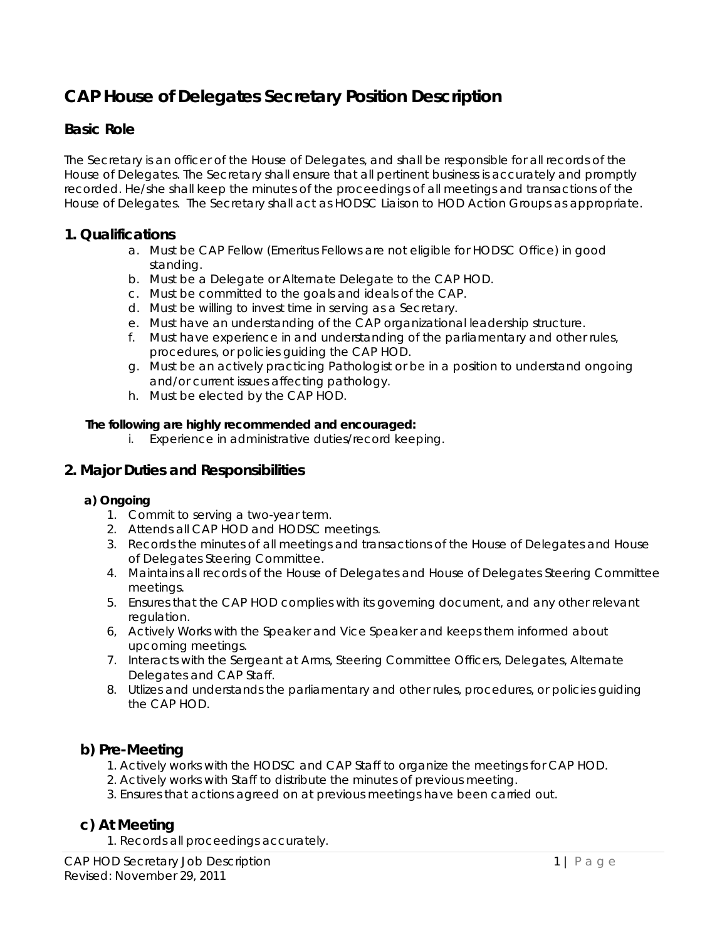# **CAP House of Delegates Secretary Position Description**

## **Basic Role**

The Secretary is an officer of the House of Delegates, and shall be responsible for all records of the House of Delegates. The Secretary shall ensure that all pertinent business is accurately and promptly recorded. He/she shall keep the minutes of the proceedings of all meetings and transactions of the House of Delegates. The Secretary shall act as HODSC Liaison to HOD Action Groups as appropriate.

#### **1. Qualifications**

- a. Must be CAP Fellow (Emeritus Fellows are not eligible for HODSC Office) in good standing.
- b. Must be a Delegate or Alternate Delegate to the CAP HOD.
- c. Must be committed to the goals and ideals of the CAP.
- d. Must be willing to invest time in serving as a Secretary.
- e. Must have an understanding of the CAP organizational leadership structure.
- f. Must have experience in and understanding of the parliamentary and other rules, procedures, or policies guiding the CAP HOD.
- g. Must be an actively practicing Pathologist or be in a position to understand ongoing and/or current issues affecting pathology.
- h. Must be elected by the CAP HOD.

#### **The following are highly recommended and encouraged:**

i. Experience in administrative duties/record keeping.

## **2. Major Duties and Responsibilities**

#### **a) Ongoing**

- 1. Commit to serving a two-year term.
- 2. Attends all CAP HOD and HODSC meetings.
- 3. Records the minutes of all meetings and transactions of the House of Delegates and House of Delegates Steering Committee.
- 4. Maintains all records of the House of Delegates and House of Delegates Steering Committee meetings.
- 5. Ensures that the CAP HOD complies with its governing document, and any other relevant regulation.
- 6, Actively Works with the Speaker and Vice Speaker and keeps them informed about upcoming meetings.
- 7. Interacts with the Sergeant at Arms, Steering Committee Officers, Delegates, Alternate Delegates and CAP Staff.
- 8. Utlizes and understands the parliamentary and other rules, procedures, or policies guiding the CAP HOD.

## **b) Pre-Meeting**

- 1. Actively works with the HODSC and CAP Staff to organize the meetings for CAP HOD.
- 2. Actively works with Staff to distribute the minutes of previous meeting.
- 3. Ensures that actions agreed on at previous meetings have been carried out.

## **c) At Meeting**

1. Records all proceedings accurately.